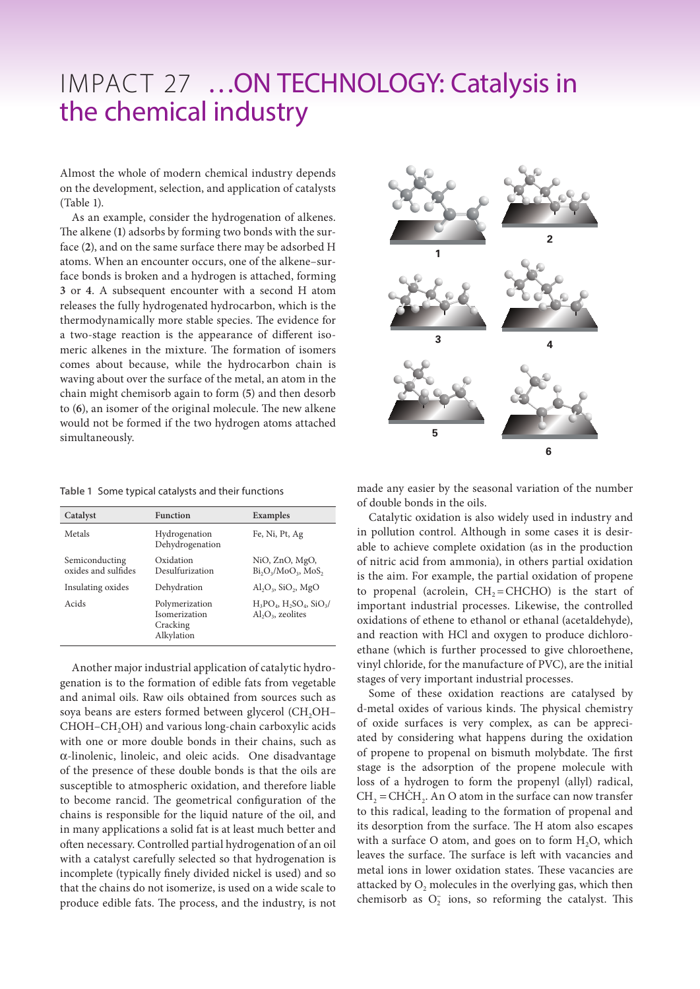## IMPACT 27 …ON TECHNOLOGY: Catalysis in the chemical industry

Almost the whole of modern chemical industry depends on the development, selection, and application of catalysts (Table 1).

As an example, consider the hydrogenation of alkenes. The alkene (**1**) adsorbs by forming two bonds with the surface (**2**), and on the same surface there may be adsorbed H atoms. When an encounter occurs, one of the alkene–surface bonds is broken and a hydrogen is attached, forming **3** or **4**. A subsequent encounter with a second H atom releases the fully hydrogenated hydrocarbon, which is the thermodynamically more stable species. The evidence for a two-stage reaction is the appearance of different isomeric alkenes in the mixture. The formation of isomers comes about because, while the hydrocarbon chain is waving about over the surface of the metal, an atom in the chain might chemisorb again to form (**5**) and then desorb to (**6**), an isomer of the original molecule. The new alkene would not be formed if the two hydrogen atoms attached simultaneously.

|  |  |  |  | Table 1 Some typical catalysts and their functions |
|--|--|--|--|----------------------------------------------------|
|--|--|--|--|----------------------------------------------------|

| Catalyst                              | <b>Function</b>                                           | Examples                                                 |
|---------------------------------------|-----------------------------------------------------------|----------------------------------------------------------|
| Metals                                | Hydrogenation<br>Dehydrogenation                          | Fe, Ni, Pt, Ag                                           |
| Semiconducting<br>oxides and sulfides | Oxidation<br>Desulfurization                              | NiO, ZnO, MgO,<br>$Bi_2O_3/MoO_3$ , MoS,                 |
| Insulating oxides                     | Dehydration                                               | $Al_2O_3$ , $SiO_2$ , $MgO$                              |
| Acids                                 | Polymerization<br>Isomerization<br>Cracking<br>Alkylation | $H_3PO_4$ , $H_2SO_4$ , $SiO_3/$<br>$Al_2O_3$ , zeolites |

Another major industrial application of catalytic hydrogenation is to the formation of edible fats from vegetable and animal oils. Raw oils obtained from sources such as soya beans are esters formed between glycerol (CH<sub>2</sub>OH– CHOH–CH2OH) and various long-chain carboxylic acids with one or more double bonds in their chains, such as α-linolenic, linoleic, and oleic acids. One disadvantage of the presence of these double bonds is that the oils are susceptible to atmospheric oxidation, and therefore liable to become rancid. The geometrical configuration of the chains is responsible for the liquid nature of the oil, and in many applications a solid fat is at least much better and often necessary. Controlled partial hydrogenation of an oil with a catalyst carefully selected so that hydrogenation is incomplete (typically finely divided nickel is used) and so that the chains do not isomerize, is used on a wide scale to produce edible fats. The process, and the industry, is not



made any easier by the seasonal variation of the number of double bonds in the oils.

Catalytic oxidation is also widely used in industry and in pollution control. Although in some cases it is desirable to achieve complete oxidation (as in the production of nitric acid from ammonia), in others partial oxidation is the aim. For example, the partial oxidation of propene to propenal (acrolein,  $CH<sub>2</sub>=CHCHO$ ) is the start of important industrial processes. Likewise, the controlled oxidations of ethene to ethanol or ethanal (acetaldehyde), and reaction with HCl and oxygen to produce dichloroethane (which is further processed to give chloroethene, vinyl chloride, for the manufacture of PVC), are the initial stages of very important industrial processes.

Some of these oxidation reactions are catalysed by d-metal oxides of various kinds. The physical chemistry of oxide surfaces is very complex, as can be appreciated by considering what happens during the oxidation of propene to propenal on bismuth molybdate. The first stage is the adsorption of the propene molecule with loss of a hydrogen to form the propenyl (allyl) radical,  $CH<sub>2</sub> = CHCH<sub>2</sub>$ . An O atom in the surface can now transfer to this radical, leading to the formation of propenal and its desorption from the surface. The H atom also escapes with a surface  $O$  atom, and goes on to form  $H<sub>2</sub>O$ , which leaves the surface. The surface is left with vacancies and metal ions in lower oxidation states. These vacancies are attacked by  $O_2$  molecules in the overlying gas, which then chemisorb as  $O_2^-$  ions, so reforming the catalyst. This